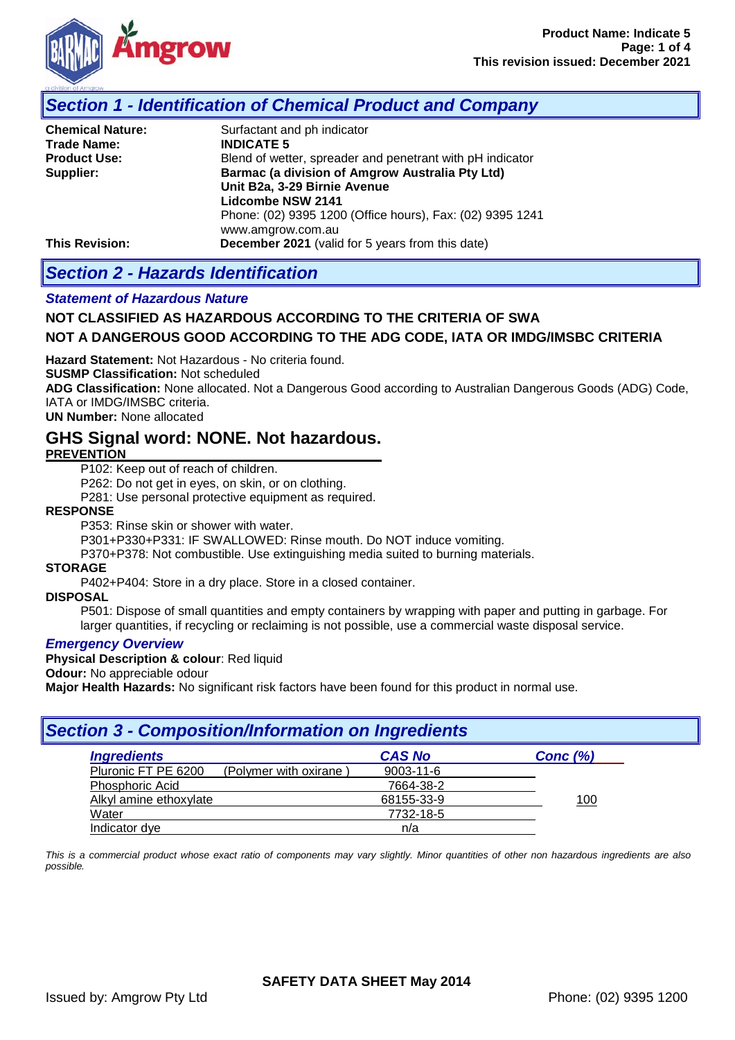

## *Section 1 - Identification of Chemical Product and Company*

| <b>Chemical Nature:</b> | Surfactant and ph indicator                               |
|-------------------------|-----------------------------------------------------------|
| Trade Name:             | <b>INDICATE 5</b>                                         |
| <b>Product Use:</b>     | Blend of wetter, spreader and penetrant with pH indicator |
| Supplier:               | Barmac (a division of Amgrow Australia Pty Ltd)           |
|                         | Unit B2a, 3-29 Birnie Avenue                              |
|                         | <b>Lidcombe NSW 2141</b>                                  |
|                         | Phone: (02) 9395 1200 (Office hours), Fax: (02) 9395 1241 |
|                         | www.amgrow.com.au                                         |
| <b>This Revision:</b>   | December 2021 (valid for 5 years from this date)          |

# *Section 2 - Hazards Identification*

### *Statement of Hazardous Nature*

### **NOT CLASSIFIED AS HAZARDOUS ACCORDING TO THE CRITERIA OF SWA**

### **NOT A DANGEROUS GOOD ACCORDING TO THE ADG CODE, IATA OR IMDG/IMSBC CRITERIA**

**Hazard Statement:** Not Hazardous - No criteria found.

**SUSMP Classification:** Not scheduled

**ADG Classification:** None allocated. Not a Dangerous Good according to Australian Dangerous Goods (ADG) Code, IATA or IMDG/IMSBC criteria.

**UN Number:** None allocated

## **GHS Signal word: NONE. Not hazardous.**

#### **PREVENTION**

P102: Keep out of reach of children.

P262: Do not get in eyes, on skin, or on clothing.

P281: Use personal protective equipment as required.

#### **RESPONSE**

P353: Rinse skin or shower with water.

P301+P330+P331: IF SWALLOWED: Rinse mouth. Do NOT induce vomiting.

P370+P378: Not combustible. Use extinguishing media suited to burning materials.

### **STORAGE**

P402+P404: Store in a dry place. Store in a closed container.

#### **DISPOSAL**

P501: Dispose of small quantities and empty containers by wrapping with paper and putting in garbage. For larger quantities, if recycling or reclaiming is not possible, use a commercial waste disposal service.

#### *Emergency Overview*

**Physical Description & colour**: Red liquid

**Odour:** No appreciable odour

**Major Health Hazards:** No significant risk factors have been found for this product in normal use.

### *Section 3 - Composition/Information on Ingredients Ingredients CAS No Conc (%)*<br>
Pluronic FT PE 6200 (Polymer with oxirane) 9003-11-6 (Polymer with oxirane) Phosphoric Acid 7664-38-2 Alkyl amine ethoxylate **68155-33-9** 100 Water 7732-18-5 Indicator dye n/a

*This is a commercial product whose exact ratio of components may vary slightly. Minor quantities of other non hazardous ingredients are also possible.*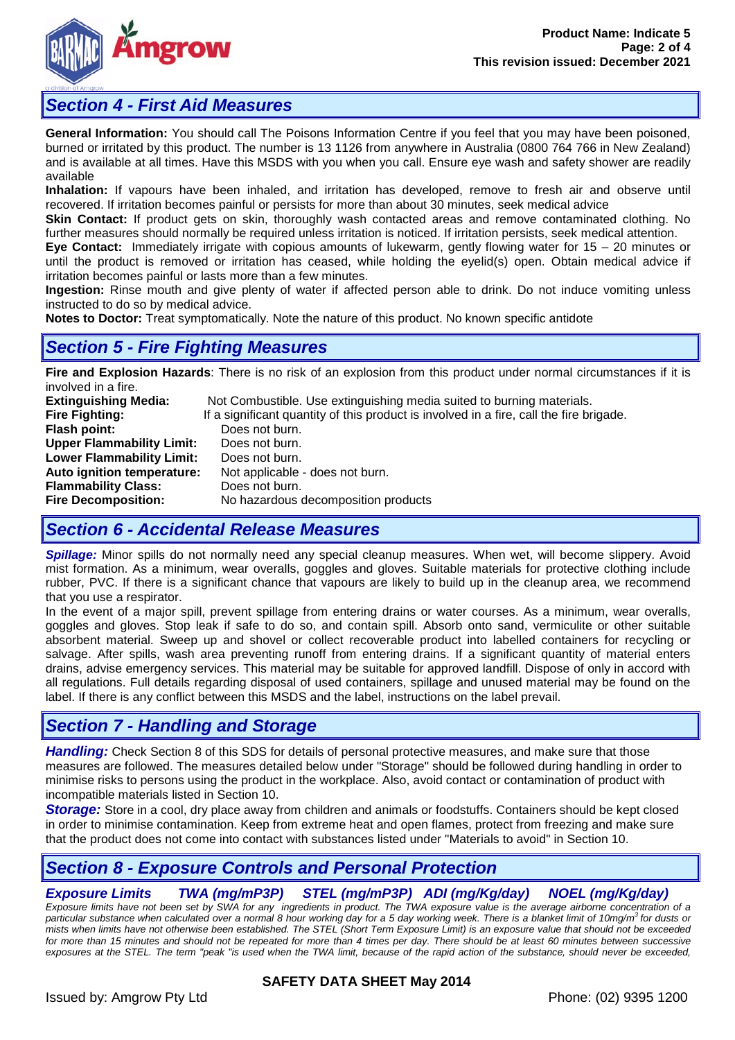

## *Section 4 - First Aid Measures*

**General Information:** You should call The Poisons Information Centre if you feel that you may have been poisoned, burned or irritated by this product. The number is 13 1126 from anywhere in Australia (0800 764 766 in New Zealand) and is available at all times. Have this MSDS with you when you call. Ensure eye wash and safety shower are readily available

**Inhalation:** If vapours have been inhaled, and irritation has developed, remove to fresh air and observe until recovered. If irritation becomes painful or persists for more than about 30 minutes, seek medical advice

**Skin Contact:** If product gets on skin, thoroughly wash contacted areas and remove contaminated clothing. No further measures should normally be required unless irritation is noticed. If irritation persists, seek medical attention.

**Eye Contact:** Immediately irrigate with copious amounts of lukewarm, gently flowing water for 15 – 20 minutes or until the product is removed or irritation has ceased, while holding the eyelid(s) open. Obtain medical advice if irritation becomes painful or lasts more than a few minutes.

**Ingestion:** Rinse mouth and give plenty of water if affected person able to drink. Do not induce vomiting unless instructed to do so by medical advice.

**Notes to Doctor:** Treat symptomatically. Note the nature of this product. No known specific antidote

## *Section 5 - Fire Fighting Measures*

**Fire and Explosion Hazards**: There is no risk of an explosion from this product under normal circumstances if it is involved in a fire.

| <b>Extinguishing Media:</b>      | Not Combustible. Use extinguishing media suited to burning materials.                   |
|----------------------------------|-----------------------------------------------------------------------------------------|
| <b>Fire Fighting:</b>            | If a significant quantity of this product is involved in a fire, call the fire brigade. |
| Flash point:                     | Does not burn.                                                                          |
| <b>Upper Flammability Limit:</b> | Does not burn.                                                                          |
| <b>Lower Flammability Limit:</b> | Does not burn.                                                                          |
| Auto ignition temperature:       | Not applicable - does not burn.                                                         |
| <b>Flammability Class:</b>       | Does not burn.                                                                          |
| <b>Fire Decomposition:</b>       | No hazardous decomposition products                                                     |
|                                  |                                                                                         |

## *Section 6 - Accidental Release Measures*

*Spillage:* Minor spills do not normally need any special cleanup measures. When wet, will become slippery. Avoid mist formation. As a minimum, wear overalls, goggles and gloves. Suitable materials for protective clothing include rubber, PVC. If there is a significant chance that vapours are likely to build up in the cleanup area, we recommend that you use a respirator.

In the event of a major spill, prevent spillage from entering drains or water courses. As a minimum, wear overalls, goggles and gloves. Stop leak if safe to do so, and contain spill. Absorb onto sand, vermiculite or other suitable absorbent material. Sweep up and shovel or collect recoverable product into labelled containers for recycling or salvage. After spills, wash area preventing runoff from entering drains. If a significant quantity of material enters drains, advise emergency services. This material may be suitable for approved landfill. Dispose of only in accord with all regulations. Full details regarding disposal of used containers, spillage and unused material may be found on the label. If there is any conflict between this MSDS and the label, instructions on the label prevail.

## *Section 7 - Handling and Storage*

*Handling:* Check Section 8 of this SDS for details of personal protective measures, and make sure that those measures are followed. The measures detailed below under "Storage" should be followed during handling in order to minimise risks to persons using the product in the workplace. Also, avoid contact or contamination of product with incompatible materials listed in Section 10.

*Storage:* Store in a cool, dry place away from children and animals or foodstuffs. Containers should be kept closed in order to minimise contamination. Keep from extreme heat and open flames, protect from freezing and make sure that the product does not come into contact with substances listed under "Materials to avoid" in Section 10.

# *Section 8 - Exposure Controls and Personal Protection*

## *Exposure Limits TWA (mg/mP3P) STEL (mg/mP3P) ADI (mg/Kg/day) NOEL (mg/Kg/day)*

Exposure limits have not been set by SWA for any ingredients in product. The TWA exposure value is the average airborne concentration of a<br>particular substance when calculated over a normal 8 hour working day for a 5 day *mists when limits have not otherwise been established. The STEL (Short Term Exposure Limit) is an exposure value that should not be exceeded*  for more than 15 minutes and should not be repeated for more than 4 times per day. There should be at least 60 minutes between successive exposures at the STEL. The term "peak "is used when the TWA limit, because of the rapid action of the substance, should never be exceeded,

### **SAFETY DATA SHEET May 2014**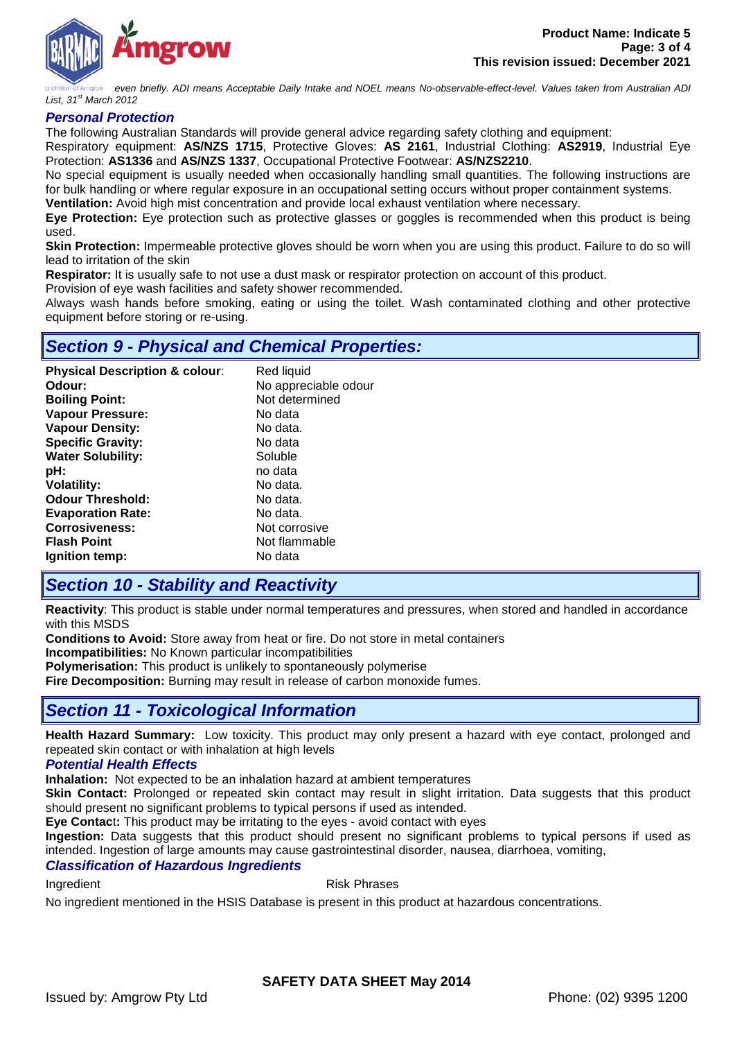

*even briefly. ADI means Acceptable Daily Intake and NOEL means No-observable-effect-level. Values taken from Australian ADI List, 31st March 2012*

#### *Personal Protection*

The following Australian Standards will provide general advice regarding safety clothing and equipment:

Respiratory equipment: **AS/NZS 1715**, Protective Gloves: **AS 2161**, Industrial Clothing: **AS2919**, Industrial Eye Protection: **AS1336** and **AS/NZS 1337**, Occupational Protective Footwear: **AS/NZS2210**.

No special equipment is usually needed when occasionally handling small quantities. The following instructions are for bulk handling or where regular exposure in an occupational setting occurs without proper containment systems.

**Ventilation:** Avoid high mist concentration and provide local exhaust ventilation where necessary.

**Eye Protection:** Eye protection such as protective glasses or goggles is recommended when this product is being used.

**Skin Protection:** Impermeable protective gloves should be worn when you are using this product. Failure to do so will lead to irritation of the skin

**Respirator:** It is usually safe to not use a dust mask or respirator protection on account of this product.

Provision of eye wash facilities and safety shower recommended.

Always wash hands before smoking, eating or using the toilet. Wash contaminated clothing and other protective equipment before storing or re-using.

## *Section 9 - Physical and Chemical Properties:*

| <b>Physical Description &amp; colour:</b> | Red liquid           |
|-------------------------------------------|----------------------|
| Odour:                                    | No appreciable odour |
| <b>Boiling Point:</b>                     | Not determined       |
| <b>Vapour Pressure:</b>                   | No data              |
| <b>Vapour Density:</b>                    | No data.             |
| <b>Specific Gravity:</b>                  | No data              |
| <b>Water Solubility:</b>                  | Soluble              |
| pH:                                       | no data              |
| <b>Volatility:</b>                        | No data.             |
| <b>Odour Threshold:</b>                   | No data.             |
| <b>Evaporation Rate:</b>                  | No data.             |
| <b>Corrosiveness:</b>                     | Not corrosive        |
| <b>Flash Point</b>                        | Not flammable        |
| Ignition temp:                            | No data              |

## *Section 10 - Stability and Reactivity*

**Reactivity**: This product is stable under normal temperatures and pressures, when stored and handled in accordance with this MSDS

**Conditions to Avoid:** Store away from heat or fire. Do not store in metal containers

**Incompatibilities:** No Known particular incompatibilities

**Polymerisation:** This product is unlikely to spontaneously polymerise

**Fire Decomposition:** Burning may result in release of carbon monoxide fumes.

# *Section 11 - Toxicological Information*

**Health Hazard Summary:** Low toxicity. This product may only present a hazard with eye contact, prolonged and repeated skin contact or with inhalation at high levels

### *Potential Health Effects*

**Inhalation:** Not expected to be an inhalation hazard at ambient temperatures

**Skin Contact:** Prolonged or repeated skin contact may result in slight irritation. Data suggests that this product should present no significant problems to typical persons if used as intended.

**Eye Contac**t**:** This product may be irritating to the eyes - avoid contact with eyes

**Ingestion:** Data suggests that this product should present no significant problems to typical persons if used as intended. Ingestion of large amounts may cause gastrointestinal disorder, nausea, diarrhoea, vomiting,

#### *Classification of Hazardous Ingredients*

Ingredient **Risk Phrases** 

No ingredient mentioned in the HSIS Database is present in this product at hazardous concentrations.